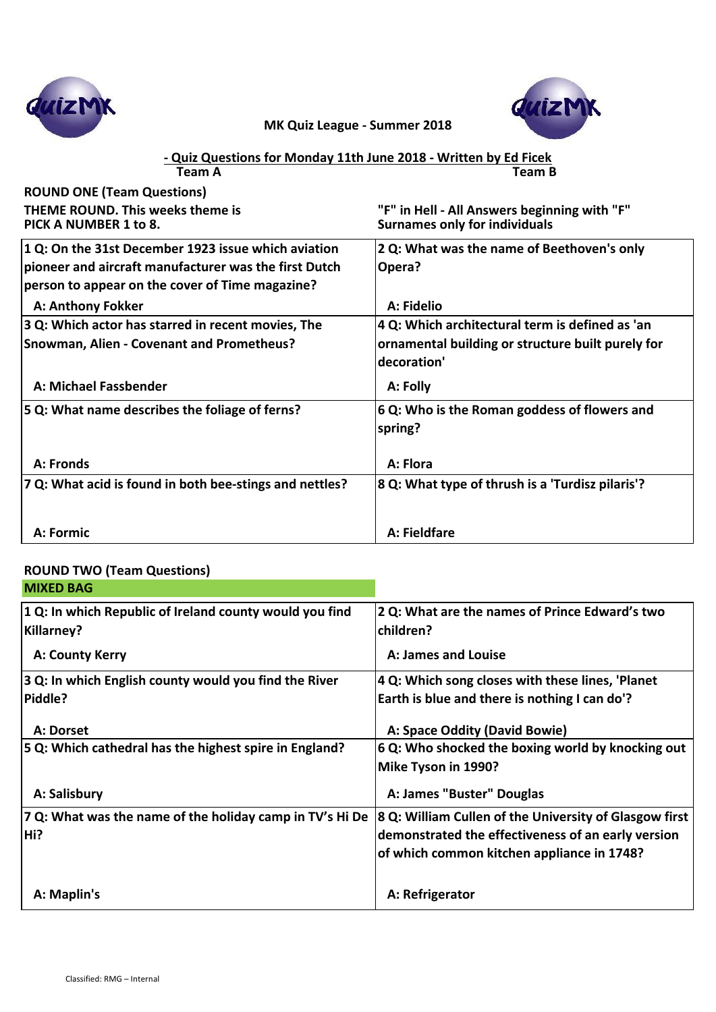



#### **Team A Team B - Quiz Questions for Monday 11th June 2018 - Written by Ed Ficek**

| <b>ROUND ONE (Team Questions)</b><br><b>THEME ROUND. This weeks theme is</b><br>PICK A NUMBER 1 to 8.    | "F" in Hell - All Answers beginning with "F"<br><b>Surnames only for individuals</b>                                |
|----------------------------------------------------------------------------------------------------------|---------------------------------------------------------------------------------------------------------------------|
| 1 Q: On the 31st December 1923 issue which aviation                                                      | 2 Q: What was the name of Beethoven's only                                                                          |
| pioneer and aircraft manufacturer was the first Dutch<br>person to appear on the cover of Time magazine? | Opera?                                                                                                              |
| <b>A: Anthony Fokker</b>                                                                                 | A: Fidelio                                                                                                          |
| 3 Q: Which actor has starred in recent movies, The<br><b>Snowman, Alien - Covenant and Prometheus?</b>   | 4 Q: Which architectural term is defined as 'an<br>ornamental building or structure built purely for<br>decoration' |
| A: Michael Fassbender                                                                                    | A: Folly                                                                                                            |
| 5 Q: What name describes the foliage of ferns?                                                           | 6 Q: Who is the Roman goddess of flowers and<br>spring?                                                             |
| A: Fronds                                                                                                | A: Flora                                                                                                            |
| 7 Q: What acid is found in both bee-stings and nettles?                                                  | 8 Q: What type of thrush is a 'Turdisz pilaris'?                                                                    |
| A: Formic                                                                                                | A: Fieldfare                                                                                                        |

### **ROUND TWO (Team Questions)**

| <b>MIXED BAG</b>                                                             |                                                                                                                                                            |
|------------------------------------------------------------------------------|------------------------------------------------------------------------------------------------------------------------------------------------------------|
| 1 Q: In which Republic of Ireland county would you find<br><b>Killarney?</b> | 2 Q: What are the names of Prince Edward's two<br>children?                                                                                                |
| A: County Kerry                                                              | A: James and Louise                                                                                                                                        |
| 3 Q: In which English county would you find the River                        | 4 Q: Which song closes with these lines, 'Planet                                                                                                           |
| Piddle?                                                                      | Earth is blue and there is nothing I can do'?                                                                                                              |
| A: Dorset                                                                    | A: Space Oddity (David Bowie)                                                                                                                              |
| 5 Q: Which cathedral has the highest spire in England?                       | 6 Q: Who shocked the boxing world by knocking out<br>Mike Tyson in 1990?                                                                                   |
| A: Salisbury                                                                 | A: James "Buster" Douglas                                                                                                                                  |
| 7 Q: What was the name of the holiday camp in TV's Hi De<br>Hi?              | 8 Q: William Cullen of the University of Glasgow first<br>demonstrated the effectiveness of an early version<br>of which common kitchen appliance in 1748? |
| A: Maplin's                                                                  | A: Refrigerator                                                                                                                                            |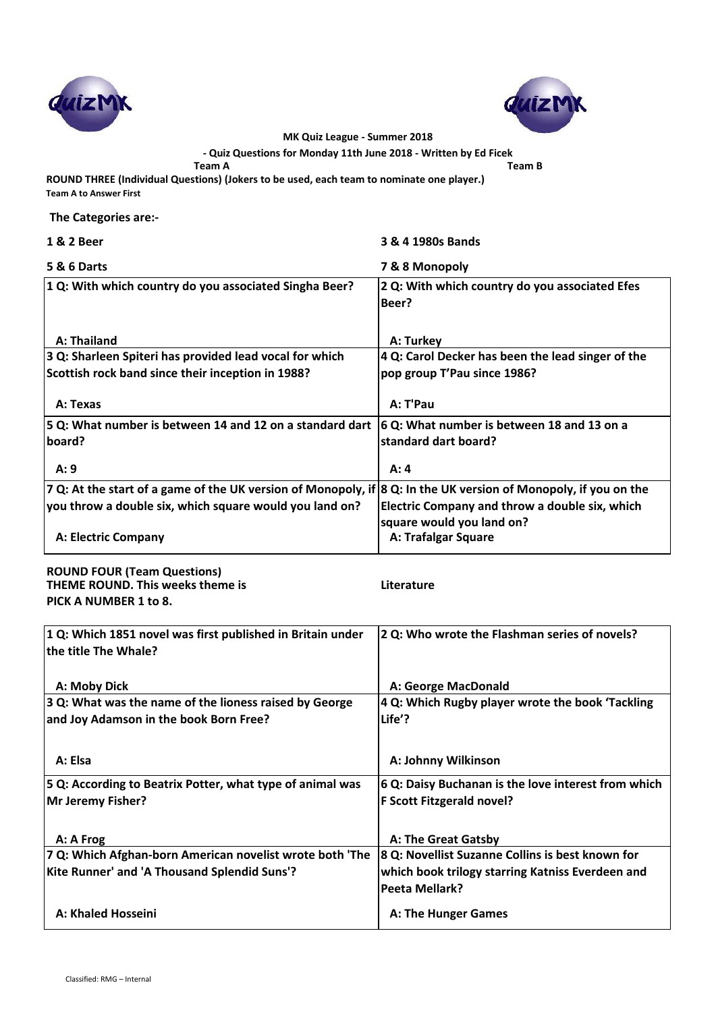



**- Quiz Questions for Monday 11th June 2018 - Written by Ed Ficek**

**Team A Team B**

**ROUND THREE (Individual Questions) (Jokers to be used, each team to nominate one player.) Team A to Answer First** 

 **The Categories are:-**

| 1 & 2 Beer                                                                                                      | 3 & 4 1980s Bands                                       |
|-----------------------------------------------------------------------------------------------------------------|---------------------------------------------------------|
| <b>5 &amp; 6 Darts</b>                                                                                          | 7 & 8 Monopoly                                          |
| 1 Q: With which country do you associated Singha Beer?                                                          | 2 Q: With which country do you associated Efes<br>Beer? |
| A: Thailand                                                                                                     | A: Turkey                                               |
| 3 Q: Sharleen Spiteri has provided lead vocal for which                                                         | 4 Q: Carol Decker has been the lead singer of the       |
| Scottish rock band since their inception in 1988?                                                               | pop group T'Pau since 1986?                             |
| A: Texas                                                                                                        | A: T'Pau                                                |
| 5 Q: What number is between 14 and 12 on a standard dart                                                        | 6 Q: What number is between 18 and 13 on a              |
| board?                                                                                                          | standard dart board?                                    |
| A:9                                                                                                             | A: 4                                                    |
| 7 Q: At the start of a game of the UK version of Monopoly, if 8 Q: In the UK version of Monopoly, if you on the |                                                         |
| you throw a double six, which square would you land on?                                                         | Electric Company and throw a double six, which          |
|                                                                                                                 | square would you land on?                               |
| A: Electric Company                                                                                             | A: Trafalgar Square                                     |
|                                                                                                                 |                                                         |

**ROUND FOUR (Team Questions) THEME ROUND. This weeks theme is Literature PICK A NUMBER 1 to 8.**

| 1 Q: Which 1851 novel was first published in Britain under<br>the title The Whale? | 2 Q: Who wrote the Flashman series of novels?       |
|------------------------------------------------------------------------------------|-----------------------------------------------------|
| A: Moby Dick                                                                       | A: George MacDonald                                 |
| 3 Q: What was the name of the lioness raised by George                             | 4 Q: Which Rugby player wrote the book 'Tackling    |
| and Joy Adamson in the book Born Free?                                             | Life'?                                              |
| A: Elsa                                                                            | A: Johnny Wilkinson                                 |
| 5 Q: According to Beatrix Potter, what type of animal was                          | 6 Q: Daisy Buchanan is the love interest from which |
| <b>Mr Jeremy Fisher?</b>                                                           | <b>F Scott Fitzgerald novel?</b>                    |
| A: A Frog                                                                          | A: The Great Gatsby                                 |
| 7 Q: Which Afghan-born American novelist wrote both 'The                           | 8 Q: Novellist Suzanne Collins is best known for    |
| Kite Runner' and 'A Thousand Splendid Suns'?                                       | which book trilogy starring Katniss Everdeen and    |
|                                                                                    | <b>Peeta Mellark?</b>                               |
| A: Khaled Hosseini                                                                 | A: The Hunger Games                                 |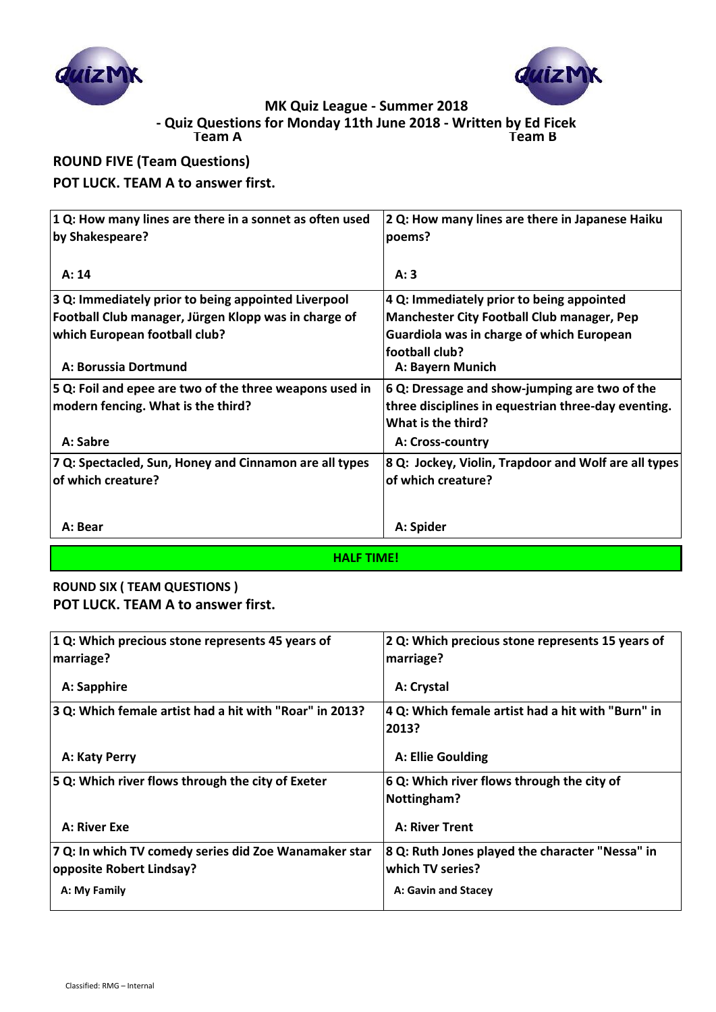



**Team A Team B - Quiz Questions for Monday 11th June 2018 - Written by Ed Ficek**

# **ROUND FIVE (Team Questions)**

## **POT LUCK. TEAM A to answer first.**

| 2 Q: How many lines are there in Japanese Haiku                                                                    |
|--------------------------------------------------------------------------------------------------------------------|
| poems?                                                                                                             |
| A:3                                                                                                                |
| 4 Q: Immediately prior to being appointed                                                                          |
| <b>Manchester City Football Club manager, Pep</b>                                                                  |
| Guardiola was in charge of which European                                                                          |
| football club?                                                                                                     |
| A: Bayern Munich                                                                                                   |
| 6 Q: Dressage and show-jumping are two of the                                                                      |
| three disciplines in equestrian three-day eventing.                                                                |
| What is the third?                                                                                                 |
| A: Cross-country                                                                                                   |
| 8 Q: Jockey, Violin, Trapdoor and Wolf are all types                                                               |
| of which creature?                                                                                                 |
|                                                                                                                    |
| A: Spider                                                                                                          |
| 1 Q: How many lines are there in a sonnet as often used<br>5 Q: Foil and epee are two of the three weapons used in |

**HALF TIME!**

## **ROUND SIX ( TEAM QUESTIONS ) POT LUCK. TEAM A to answer first.**

| 1 Q: Which precious stone represents 45 years of<br>marriage?                     | 2 Q: Which precious stone represents 15 years of<br>marriage?       |
|-----------------------------------------------------------------------------------|---------------------------------------------------------------------|
| A: Sapphire                                                                       | A: Crystal                                                          |
| 3 Q: Which female artist had a hit with "Roar" in 2013?                           | 4 Q: Which female artist had a hit with "Burn" in<br>2013?          |
| A: Katy Perry                                                                     | A: Ellie Goulding                                                   |
| 5 Q: Which river flows through the city of Exeter                                 | 6 Q: Which river flows through the city of<br>Nottingham?           |
| A: River Exe                                                                      | <b>A: River Trent</b>                                               |
| 7 Q: In which TV comedy series did Zoe Wanamaker star<br>opposite Robert Lindsay? | 8 Q: Ruth Jones played the character "Nessa" in<br>which TV series? |
| A: My Family                                                                      | A: Gavin and Stacey                                                 |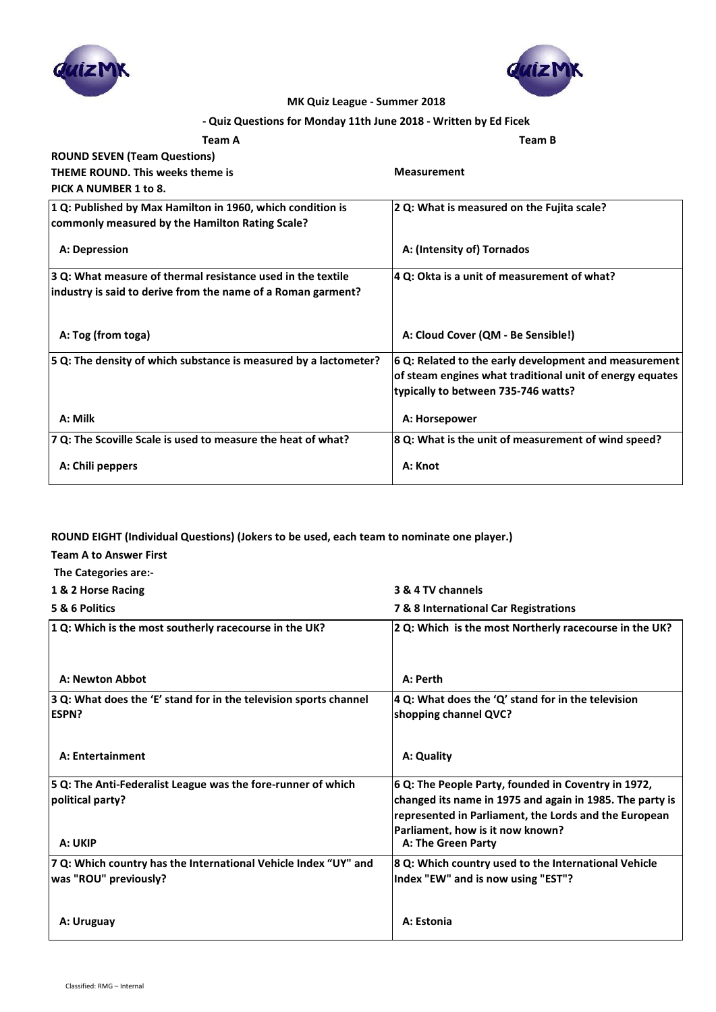



### **- Quiz Questions for Monday 11th June 2018 - Written by Ed Ficek**

| <b>Team A</b>                                                                                                 | <b>Team B</b>                                            |
|---------------------------------------------------------------------------------------------------------------|----------------------------------------------------------|
| <b>ROUND SEVEN (Team Questions)</b>                                                                           |                                                          |
| <b>THEME ROUND. This weeks theme is</b>                                                                       | <b>Measurement</b>                                       |
| PICK A NUMBER 1 to 8.                                                                                         |                                                          |
| 1 Q: Published by Max Hamilton in 1960, which condition is<br>commonly measured by the Hamilton Rating Scale? | 2 Q: What is measured on the Fujita scale?               |
| A: Depression                                                                                                 | A: (Intensity of) Tornados                               |
| 3 Q: What measure of thermal resistance used in the textile                                                   | 4 Q: Okta is a unit of measurement of what?              |
| industry is said to derive from the name of a Roman garment?                                                  |                                                          |
| A: Tog (from toga)                                                                                            | A: Cloud Cover (QM - Be Sensible!)                       |
| 5 Q: The density of which substance is measured by a lactometer?                                              | 6 Q: Related to the early development and measurement    |
|                                                                                                               | of steam engines what traditional unit of energy equates |
|                                                                                                               | typically to between 735-746 watts?                      |
| A: Milk                                                                                                       | A: Horsepower                                            |
| 7 Q: The Scoville Scale is used to measure the heat of what?                                                  | 8 Q: What is the unit of measurement of wind speed?      |
| A: Chili peppers                                                                                              | A: Knot                                                  |

### **ROUND EIGHT (Individual Questions) (Jokers to be used, each team to nominate one player.)**

- **Team A to Answer First**
- **The Categories are:-**

| 1 & 2 Horse Racing                                     | 3 & 4 TV channels                                      |
|--------------------------------------------------------|--------------------------------------------------------|
| 5 & 6 Politics                                         | <b>7 &amp; 8 International Car Registrations</b>       |
| 1 Q: Which is the most southerly racecourse in the UK? | 2 Q: Which is the most Northerly racecourse in the UK? |

| A: Newton Abbot                                                                   | A: Perth                                                                    |
|-----------------------------------------------------------------------------------|-----------------------------------------------------------------------------|
| 3 Q: What does the 'E' stand for in the television sports channel<br><b>ESPN?</b> | 4 Q: What does the 'Q' stand for in the television<br>shopping channel QVC? |
| A: Entertainment                                                                  | A: Quality                                                                  |
| 5 Q: The Anti-Federalist League was the fore-runner of which                      | 6 Q: The People Party, founded in Coventry in 1972,                         |
| political party?                                                                  | changed its name in 1975 and again in 1985. The party is                    |
|                                                                                   | represented in Parliament, the Lords and the European                       |
| A: UKIP                                                                           | Parliament, how is it now known?<br>A: The Green Party                      |
| 7 Q: Which country has the International Vehicle Index "UY" and                   | 8 Q: Which country used to the International Vehicle                        |
| was "ROU" previously?                                                             | Index "EW" and is now using "EST"?                                          |
|                                                                                   |                                                                             |
| A: Uruguay                                                                        | A: Estonia                                                                  |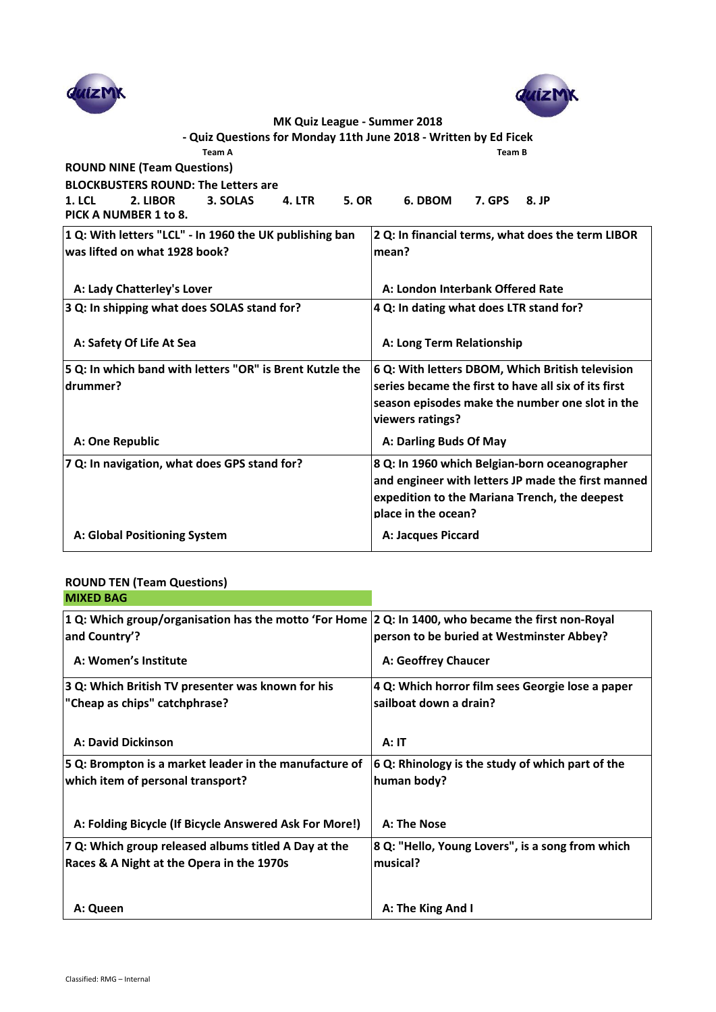



| - Quiz Questions for Monday 11th June 2018 - Written by Ed Ficek                                |                                                      |  |
|-------------------------------------------------------------------------------------------------|------------------------------------------------------|--|
| Team A                                                                                          | <b>Team B</b>                                        |  |
| <b>ROUND NINE (Team Questions)</b>                                                              |                                                      |  |
| <b>BLOCKBUSTERS ROUND: The Letters are</b>                                                      |                                                      |  |
| 2. LIBOR<br>3. SOLAS<br><b>4. LTR</b><br><b>5. OR</b><br><b>1. LCL</b><br>PICK A NUMBER 1 to 8. | 6. DBOM<br><b>7. GPS</b><br>8. JP                    |  |
| 1 Q: With letters "LCL" - In 1960 the UK publishing ban                                         | 2 Q: In financial terms, what does the term LIBOR    |  |
| was lifted on what 1928 book?                                                                   | mean?                                                |  |
| A: Lady Chatterley's Lover                                                                      | A: London Interbank Offered Rate                     |  |
| 3 Q: In shipping what does SOLAS stand for?                                                     | 4 Q: In dating what does LTR stand for?              |  |
| A: Safety Of Life At Sea                                                                        | A: Long Term Relationship                            |  |
| 5 Q: In which band with letters "OR" is Brent Kutzle the                                        | 6 Q: With letters DBOM, Which British television     |  |
| drummer?                                                                                        | series became the first to have all six of its first |  |
|                                                                                                 | season episodes make the number one slot in the      |  |
|                                                                                                 | viewers ratings?                                     |  |
| A: One Republic                                                                                 | A: Darling Buds Of May                               |  |
| 7 Q: In navigation, what does GPS stand for?                                                    | 8 Q: In 1960 which Belgian-born oceanographer        |  |
|                                                                                                 | and engineer with letters JP made the first manned   |  |
|                                                                                                 | expedition to the Mariana Trench, the deepest        |  |
|                                                                                                 | place in the ocean?                                  |  |
| A: Global Positioning System                                                                    | A: Jacques Piccard                                   |  |

### **ROUND TEN (Team Questions) MIXED BAG**

| 1 Q: Which group/organisation has the motto 'For Home 2 Q: In 1400, who became the first non-Royal |                                                  |
|----------------------------------------------------------------------------------------------------|--------------------------------------------------|
| and Country'?                                                                                      | person to be buried at Westminster Abbey?        |
| A: Women's Institute                                                                               | A: Geoffrey Chaucer                              |
| 3 Q: Which British TV presenter was known for his                                                  | 4 Q: Which horror film sees Georgie lose a paper |
| "Cheap as chips" catchphrase?                                                                      | sailboat down a drain?                           |
|                                                                                                    |                                                  |
| <b>A: David Dickinson</b>                                                                          | A:IT                                             |
|                                                                                                    |                                                  |
| 5 Q: Brompton is a market leader in the manufacture of                                             | 6 Q: Rhinology is the study of which part of the |
| which item of personal transport?                                                                  | human body?                                      |
|                                                                                                    |                                                  |
|                                                                                                    |                                                  |
| A: Folding Bicycle (If Bicycle Answered Ask For More!)                                             | A: The Nose                                      |
| 7 Q: Which group released albums titled A Day at the                                               | 8 Q: "Hello, Young Lovers", is a song from which |
| Races & A Night at the Opera in the 1970s                                                          | musical?                                         |
|                                                                                                    |                                                  |
| A: Queen                                                                                           | A: The King And I                                |